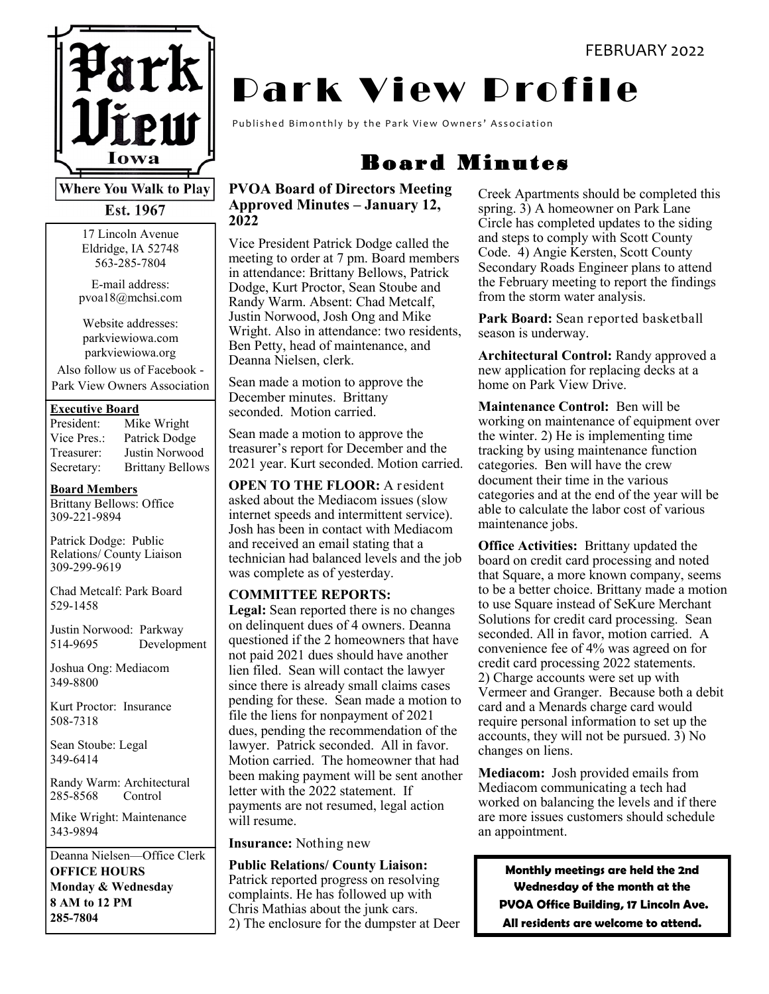

**Where You Walk to Play** 

Est. 1967

17 Lincoln Avenue Eldridge, IA 52748 563-285-7804

E-mail address: pvoa18@mchsi.com

Website addresses: parkviewiowa.com parkviewiowa.org

Also follow us of Facebook - Park View Owners Association

#### **Executive Board**

| President:  | Mike Wright             |
|-------------|-------------------------|
| Vice Pres.: | Patrick Dodge           |
| Treasurer:  | Justin Norwood          |
| Secretary:  | <b>Brittany Bellows</b> |

**Board Members**

Brittany Bellows: Office 309-221-9894

Patrick Dodge: Public Relations/ County Liaison 309-299-9619

Chad Metcalf: Park Board 529-1458

Justin Norwood: Parkway 514-9695 Development

Joshua Ong: Mediacom 349-8800

Kurt Proctor: Insurance 508-7318

Sean Stoube: Legal 349-6414

Randy Warm: Architectural 285-8568 Control

Mike Wright: Maintenance 343-9894

Deanna Nielsen—Office Clerk **OFFICE HOURS Monday & Wednesday 8 AM to 12 PM 285-7804**

# **Dark View Profile**

Published Bimonthly by the Park View Owners' Association

### Board Minutes

#### **PVOA Board of Directors Meeting Approved Minutes – January 12, 2022**

Vice President Patrick Dodge called the meeting to order at 7 pm. Board members in attendance: Brittany Bellows, Patrick Dodge, Kurt Proctor, Sean Stoube and Randy Warm. Absent: Chad Metcalf, Justin Norwood, Josh Ong and Mike Wright. Also in attendance: two residents, Ben Petty, head of maintenance, and Deanna Nielsen, clerk.

Sean made a motion to approve the December minutes. Brittany seconded. Motion carried.

Sean made a motion to approve the treasurer's report for December and the 2021 year. Kurt seconded. Motion carried.

**OPEN TO THE FLOOR:** A resident asked about the Mediacom issues (slow internet speeds and intermittent service). Josh has been in contact with Mediacom and received an email stating that a technician had balanced levels and the job was complete as of yesterday.

#### **COMMITTEE REPORTS:**

**Legal:** Sean reported there is no changes on delinquent dues of 4 owners. Deanna questioned if the 2 homeowners that have not paid 2021 dues should have another lien filed. Sean will contact the lawyer since there is already small claims cases pending for these. Sean made a motion to file the liens for nonpayment of 2021 dues, pending the recommendation of the lawyer. Patrick seconded. All in favor. Motion carried. The homeowner that had been making payment will be sent another letter with the 2022 statement. If payments are not resumed, legal action will resume.

**Insurance:** Nothing new

**Public Relations/ County Liaison:**  Patrick reported progress on resolving complaints. He has followed up with Chris Mathias about the junk cars. 2) The enclosure for the dumpster at Deer

Creek Apartments should be completed this spring. 3) A homeowner on Park Lane Circle has completed updates to the siding and steps to comply with Scott County Code. 4) Angie Kersten, Scott County Secondary Roads Engineer plans to attend the February meeting to report the findings from the storm water analysis.

**Park Board:** Sean reported basketball season is underway.

**Architectural Control:** Randy approved a new application for replacing decks at a home on Park View Drive.

**Maintenance Control:** Ben will be working on maintenance of equipment over the winter. 2) He is implementing time tracking by using maintenance function categories. Ben will have the crew document their time in the various categories and at the end of the year will be able to calculate the labor cost of various maintenance jobs.

**Office Activities:** Brittany updated the board on credit card processing and noted that Square, a more known company, seems to be a better choice. Brittany made a motion to use Square instead of SeKure Merchant Solutions for credit card processing. Sean seconded. All in favor, motion carried. A convenience fee of 4% was agreed on for credit card processing 2022 statements. 2) Charge accounts were set up with Vermeer and Granger. Because both a debit card and a Menards charge card would require personal information to set up the accounts, they will not be pursued. 3) No changes on liens.

**Mediacom:** Josh provided emails from Mediacom communicating a tech had worked on balancing the levels and if there are more issues customers should schedule an appointment.

**Monthly meetings are held the 2nd Wednesday of the month at the PVOA Office Building, 17 Lincoln Ave. All residents are welcome to attend.**